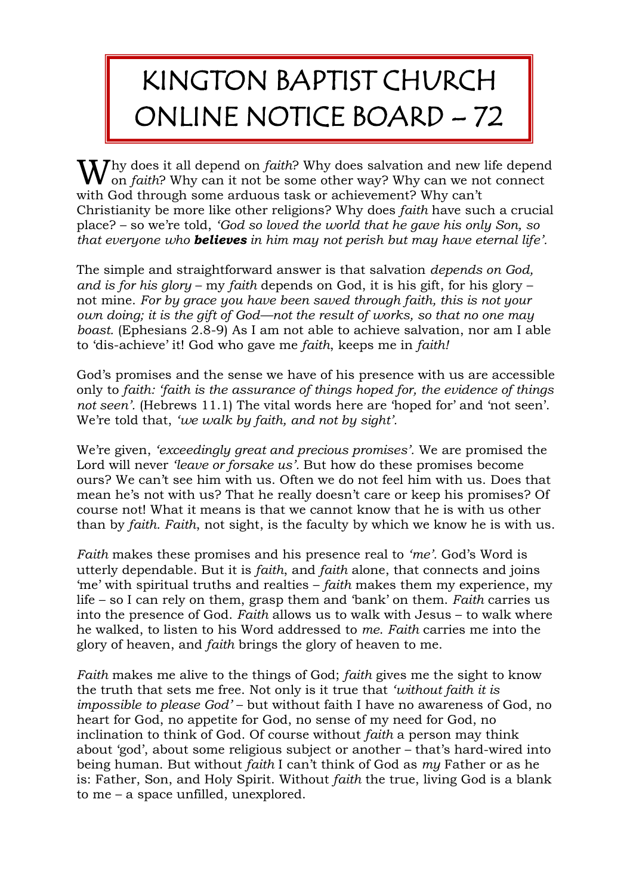## KINGTON BAPTIST CHURCH ONLINE NOTICE BOARD – 72

hy does it all depend on *faith*? Why does salvation and new life depend Why does it all depend on *faith*? Why does salvation and new life depend on *faith*? Why can it not be some other way? Why can we not connect with God through some arduous task or achievement? Why can't Christianity be more like other religions? Why does *faith* have such a crucial place? – so we're told, *'God so loved the world that he gave his only Son, so that everyone who believes in him may not perish but may have eternal life'.*

The simple and straightforward answer is that salvation *depends on God, and is for his glory* – my *faith* depends on God, it is his gift, for his glory – not mine. *For by grace you have been saved through faith, this is not your own doing; it is the gift of God—not the result of works, so that no one may boast.* (Ephesians 2.8-9) As I am not able to achieve salvation, nor am I able to 'dis-achieve' it! God who gave me *faith*, keeps me in *faith!*

God's promises and the sense we have of his presence with us are accessible only to *faith: 'faith is the assurance of things hoped for, the evidence of things not seen'.* (Hebrews 11.1) The vital words here are 'hoped for' and 'not seen'. We're told that, *'we walk by faith, and not by sight'.*

We're given, *'exceedingly great and precious promises'.* We are promised the Lord will never *'leave or forsake us'.* But how do these promises become ours? We can't see him with us. Often we do not feel him with us. Does that mean he's not with us? That he really doesn't care or keep his promises? Of course not! What it means is that we cannot know that he is with us other than by *faith. Faith*, not sight, is the faculty by which we know he is with us.

*Faith* makes these promises and his presence real to *'me'.* God's Word is utterly dependable. But it is *faith*, and *faith* alone, that connects and joins 'me' with spiritual truths and realties – *faith* makes them my experience, my life – so I can rely on them, grasp them and 'bank' on them. *Faith* carries us into the presence of God. *Faith* allows us to walk with Jesus – to walk where he walked, to listen to his Word addressed to *me*. *Faith* carries me into the glory of heaven, and *faith* brings the glory of heaven to me.

*Faith* makes me alive to the things of God; *faith* gives me the sight to know the truth that sets me free. Not only is it true that *'without faith it is impossible to please God'* – but without faith I have no awareness of God, no heart for God, no appetite for God, no sense of my need for God, no inclination to think of God. Of course without *faith* a person may think about 'god', about some religious subject or another – that's hard-wired into being human. But without *faith* I can't think of God as *my* Father or as he is: Father, Son, and Holy Spirit. Without *faith* the true, living God is a blank to me – a space unfilled, unexplored.